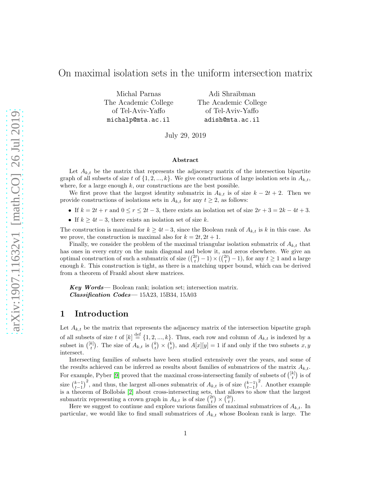## On maximal isolation sets in the uniform intersection matrix

Michal Parnas The Academic College of Tel-Aviv-Yaffo michalp@mta.ac.il

Adi Shraibman The Academic College of Tel-Aviv-Yaffo adish@mta.ac.il

July 29, 2019

#### Abstract

Let  $A_{k,t}$  be the matrix that represents the adjacency matrix of the intersection bipartite graph of all subsets of size t of  $\{1, 2, ..., k\}$ . We give constructions of large isolation sets in  $A_{k,t}$ , where, for a large enough  $k$ , our constructions are the best possible.

We first prove that the largest identity submatrix in  $A_{k,t}$  is of size  $k-2t+2$ . Then we provide constructions of isolations sets in  $A_{k,t}$  for any  $t \geq 2$ , as follows:

- If  $k = 2t + r$  and  $0 \le r \le 2t 3$ , there exists an isolation set of size  $2r + 3 = 2k 4t + 3$ .
- If  $k \geq 4t 3$ , there exists an isolation set of size k.

The construction is maximal for  $k \geq 4t-3$ , since the Boolean rank of  $A_{k,t}$  is k in this case. As we prove, the construction is maximal also for  $k = 2t, 2t + 1$ .

Finally, we consider the problem of the maximal triangular isolation submatrix of  $A_{k,t}$  that has ones in every entry on the main diagonal and below it, and zeros elsewhere. We give an optimal construction of such a submatrix of size  $\binom{2t}{t} - 1 \times \binom{2t}{t} - 1$ , for any  $t \ge 1$  and a large enough  $k$ . This construction is tight, as there is a matching upper bound, which can be derived from a theorem of Frankl about skew matrices.

Key Words— Boolean rank; isolation set; intersection matrix. Classification Codes— 15A23, 15B34, 15A03

### 1 Introduction

Let  $A_{k,t}$  be the matrix that represents the adjacency matrix of the intersection bipartite graph of all subsets of size t of  $[k] \stackrel{\text{def}}{=} \{1, 2, ..., k\}$ . Thus, each row and column of  $A_{k,t}$  is indexed by a subset in  $\binom{[k]}{t}$ . The size of  $A_{k,t}$  is  $\binom{k}{t} \times \binom{k}{t}$ , and  $A[x][y] = 1$  if and only if the two subsets  $x, y$ intersect.

Intersecting families of subsets have been studied extensively over the years, and some of the results achieved can be inferred as results about families of submatrices of the matrix  $A_{k,t}$ . For example, Pyber [\[9\]](#page-13-0) proved that the maximal cross-intersecting family of subsets of  $\binom{[k]}{t}$  is of size  $\binom{k-1}{t-1}^2$ , and thus, the largest all-ones submatrix of  $A_{k,t}$  is of size  $\binom{k-1}{t-1}^2$ . Another example is a theorem of Bollobás [\[2\]](#page-13-1) about cross-intersecting sets, that allows to show that the largest submatrix representing a crown graph in  $A_{k,t}$  is of size  $\binom{2t}{t} \times \binom{2t}{t}$ .

Here we suggest to continue and explore various families of maximal submatrices of  $A_{k,t}$ . In particular, we would like to find small submatrices of  $A_{k,t}$  whose Boolean rank is large. The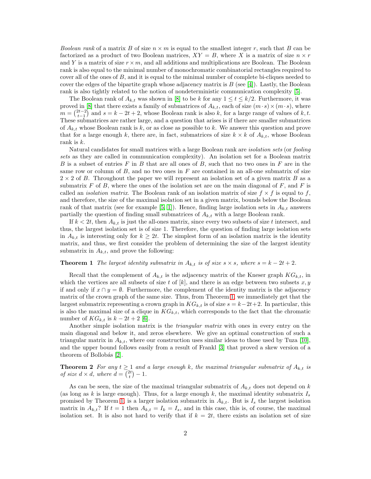*Boolean rank* of a matrix B of size  $n \times m$  is equal to the smallest integer r, such that B can be factorized as a product of two Boolean matrices,  $XY = B$ , where X is a matrix of size  $n \times r$ and Y is a matrix of size  $r \times m$ , and all additions and multiplications are Boolean. The Boolean rank is also equal to the minimal number of monochromatic combinatorial rectangles required to cover all of the ones of  $B$ , and it is equal to the minimal number of complete bi-cliques needed to cover the edges of the bipartite graph whose adjacency matrix is  $B$  (see [\[4\]](#page-13-2)). Lastly, the Boolean rank is also tightly related to the notion of nondeterministic communication complexity [\[5\]](#page-13-3).

The Boolean rank of  $A_{k,t}$  was shown in [\[8\]](#page-13-4) to be k for any  $1 \le t \le k/2$ . Furthermore, it was proved in [\[8\]](#page-13-4) that there exists a family of submatrices of  $A_{k,t}$ , each of size  $(m \cdot s) \times (m \cdot s)$ , where  $m = \binom{2t-2}{t-1}$  and  $s = k-2t+2$ , whose Boolean rank is also k, for a large range of values of k, t. These submatrices are rather large, and a question that arises is if there are smaller submatrices of  $A_{k,t}$  whose Boolean rank is k, or as close as possible to k. We answer this question and prove that for a large enough k, there are, in fact, submatrices of size  $k \times k$  of  $A_{k,t}$ , whose Boolean rank is  $k$ .

Natural candidates for small matrices with a large Boolean rank are *isolation sets* (or *fooling sets* as they are called in communication complexity). An isolation set for a Boolean matrix B is a subset of entries F in B that are all ones of B, such that no two ones in F are in the same row or column of  $B$ , and no two ones in  $F$  are contained in an all-one submatrix of size  $2 \times 2$  of B. Throughout the paper we will represent an isolation set of a given matrix B as a submatrix  $F$  of  $B$ , where the ones of the isolation set are on the main diagonal of  $F$ , and  $F$  is called an *isolation matrix*. The Boolean rank of an isolation matrix of size  $f \times f$  is equal to f, and therefore, the size of the maximal isolation set in a given matrix, bounds below the Boolean rank of that matrix (see for example [\[5,](#page-13-3) [1\]](#page-13-5)). Hence, finding large isolation sets in  $A_{k,t}$  answers partially the question of finding small submatrices of  $A_{k,t}$  with a large Boolean rank.

If  $k < 2t$ , then  $A_{k,t}$  is just the all-ones matrix, since every two subsets of size t intersect, and thus, the largest isolation set is of size 1. Therefore, the question of finding large isolation sets in  $A_{k,t}$  is interesting only for  $k \geq 2t$ . The simplest form of an isolation matrix is the identity matrix, and thus, we first consider the problem of determining the size of the largest identity submatrix in  $A_{k,t}$ , and prove the following:

#### <span id="page-1-0"></span>**Theorem 1** The largest identity submatrix in  $A_{k,t}$  is of size  $s \times s$ , where  $s = k - 2t + 2$ .

Recall that the complement of  $A_{k,t}$  is the adjacency matrix of the Kneser graph  $KG_{k,t}$ , in which the vertices are all subsets of size t of  $[k]$ , and there is an edge between two subsets  $x, y$ if and only if  $x \cap y = \emptyset$ . Furthermore, the complement of the identity matrix is the adjacency matrix of the crown graph of the same size. Thus, from Theorem [1,](#page-1-0) we immediately get that the largest submatrix representing a crown graph in  $KG_{k,t}$  is of size  $s = k-2t+2$ . In particular, this is also the maximal size of a clique in  $KG_{k,t}$ , which corresponds to the fact that the chromatic number of  $KG_{k,t}$  is  $k - 2t + 2$  [\[6\]](#page-13-6).

Another simple isolation matrix is the *triangular matrix* with ones in every entry on the main diagonal and below it, and zeros elsewhere. We give an optimal construction of such a triangular matrix in  $A_{k,t}$ , where our construction uses similar ideas to those used by Tuza [\[10\]](#page-13-7), and the upper bound follows easily from a result of Frankl [\[3\]](#page-13-8) that proved a skew version of a theorem of Bollobás [\[2\]](#page-13-1).

<span id="page-1-1"></span>**Theorem 2** For any  $t \geq 1$  and a large enough k, the maximal triangular submatrix of  $A_{k,t}$  is *of size*  $d \times d$ *, where*  $d = \binom{2t}{t} - 1$ *.* 

As can be seen, the size of the maximal triangular submatrix of  $A_{k,t}$  does not depend on k (as long as k is large enough). Thus, for a large enough k, the maximal identity submatrix  $I_s$ promised by Theorem [1,](#page-1-0) is a larger isolation submatrix in  $A_{k,t}$ . But is  $I_s$  the largest isolation matrix in  $A_{k,t}$ ? If  $t = 1$  then  $A_{k,t} = I_k = I_s$ , and in this case, this is, of course, the maximal isolation set. It is also not hard to verify that if  $k = 2t$ , there exists an isolation set of size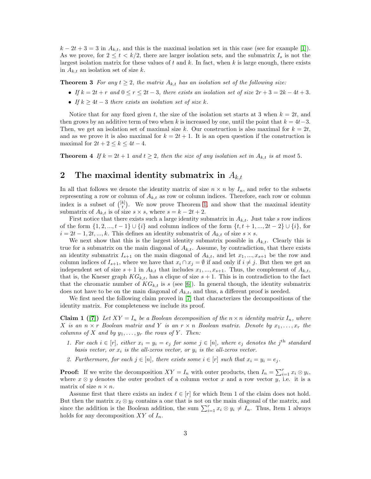$k - 2t + 3 = 3$  in  $A_{k,t}$ , and this is the maximal isolation set in this case (see for example [\[1\]](#page-13-5)). As we prove, for  $2 \leq t < k/2$ , there are larger isolation sets, and the submatrix  $I_s$  is not the largest isolation matrix for these values of t and k. In fact, when k is large enough, there exists in  $A_{k,t}$  an isolation set of size k.

<span id="page-2-1"></span>**Theorem 3** *For any*  $t \geq 2$ *, the matrix*  $A_{k,t}$  *has an isolation set of the following size:* 

- *If*  $k = 2t + r$  *and*  $0 \le r \le 2t 3$ *, there exists an isolation set of size*  $2r + 3 = 2k 4t + 3$ *.*
- *If*  $k > 4t 3$  *there exists an isolation set of size* k.

Notice that for any fixed given t, the size of the isolation set starts at 3 when  $k = 2t$ , and then grows by an additive term of two when k is increased by one, until the point that  $k = 4t-3$ . Then, we get an isolation set of maximal size k. Our construction is also maximal for  $k = 2t$ , and as we prove it is also maximal for  $k = 2t + 1$ . It is an open question if the construction is maximal for  $2t + 2 \leq k \leq 4t - 4$ .

<span id="page-2-2"></span>**Theorem 4** If  $k = 2t + 1$  and  $t \geq 2$ , then the size of any isolation set in  $A_{k,t}$  is at most 5.

# 2 The maximal identity submatrix in  $A_{k,t}$

In all that follows we denote the identity matrix of size  $n \times n$  by  $I_n$ , and refer to the subsets representing a row or column of  $A_{k,t}$  as row or column indices. Therefore, each row or column index is a subset of  $\binom{[k]}{t}$ . We now prove Theorem [1,](#page-1-0) and show that the maximal identity submatrix of  $A_{k,t}$  is of size  $s \times s$ , where  $s = k - 2t + 2$ .

First notice that there exists such a large identity submatrix in  $A_{k,t}$ . Just take s row indices of the form  $\{1, 2, ..., t-1\} \cup \{i\}$  and column indices of the form  $\{t, t+1, ..., 2t-2\} \cup \{i\}$ , for  $i = 2t - 1, 2t, \dots, k$ . This defines an identity submatrix of  $A_{k,t}$  of size  $s \times s$ .

We next show that this is the largest identity submatrix possible in  $A_{k,t}$ . Clearly this is true for a submatrix on the main diagonal of  $A_{k,t}$ . Assume, by contradiction, that there exists an identity submatrix  $I_{s+1}$  on the main diagonal of  $A_{k,t}$ , and let  $x_1, ..., x_{s+1}$  be the row and column indices of  $I_{s+1}$ , where we have that  $x_i \cap x_j = \emptyset$  if and only if  $i \neq j$ . But then we get an independent set of size  $s + 1$  in  $A_{k,t}$  that includes  $x_1, ..., x_{s+1}$ . Thus, the complement of  $A_{k,t}$ , that is, the Kneser graph  $KG_{k,t}$ , has a clique of size  $s + 1$ . This is in contradiction to the fact that the chromatic number of  $KG_{k,t}$  is s (see [\[6\]](#page-13-6)). In general though, the identity submatrix does not have to be on the main diagonal of  $A_{k,t}$ , and thus, a different proof is needed.

<span id="page-2-0"></span>We first need the following claim proved in [\[7\]](#page-13-9) that characterizes the decompositions of the identity matrix. For completeness we include its proof.

**Claim 1** ([\[7\]](#page-13-9)) Let  $XY = I_n$  be a Boolean decomposition of the  $n \times n$  identity matrix  $I_n$ , where X *is an*  $n \times r$  *Boolean matrix and* Y *is an*  $r \times n$  *Boolean matrix. Denote by*  $x_1, \ldots, x_r$  *the columns of* X *and by*  $y_1, \ldots, y_r$  *the rows of* Y. *Then:* 

- *1. For each*  $i \in [r]$ *, either*  $x_i = y_i = e_j$  *for some*  $j \in [n]$ *, where*  $e_j$  *denotes the*  $j$ <sup>th</sup> *standard basis vector, or*  $x_i$  *is the all-zeros vector, or*  $y_i$  *is the all-zeros vector.*
- 2. Furthermore, for each  $j \in [n]$ , there exists some  $i \in [r]$  such that  $x_i = y_i = e_j$ .

**Proof:** If we write the decomposition  $XY = I_n$  with outer products, then  $I_n = \sum_{i=1}^r x_i \otimes y_i$ , where  $x \otimes y$  denotes the outer product of a column vector x and a row vector y, i.e. it is a matrix of size  $n \times n$ .

Assume first that there exists an index  $\ell \in [r]$  for which Item 1 of the claim does not hold. But then the matrix  $x_{\ell} \otimes y_{\ell}$  contains a one that is not on the main diagonal of the matrix, and since the addition is the Boolean addition, the sum  $\sum_{i=1}^{r} x_i \otimes y_i \neq I_n$ . Thus, Item 1 always holds for any decomposition  $XY$  of  $I_n$ .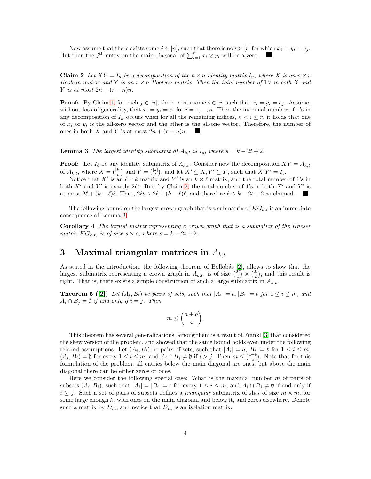<span id="page-3-0"></span>Now assume that there exists some  $j \in [n]$ , such that there is no  $i \in [r]$  for which  $x_i = y_i = e_j$ . But then the j<sup>th</sup> entry on the main diagonal of  $\sum_{i=1}^{r} x_i \otimes y_i$  will be a zero.

Claim 2 Let  $XY = I_n$  be a decomposition of the  $n \times n$  identity matrix  $I_n$ , where X is an  $n \times r$ *Boolean matrix and* Y *is an* r × n *Boolean matrix. Then the total number of* 1*'s in both* X *and Y is at most*  $2n + (r - n)n$ .

**Proof:** By Claim [1,](#page-2-0) for each  $j \in [n]$ , there exists some  $i \in [r]$  such that  $x_i = y_i = e_j$ . Assume, without loss of generality, that  $x_i = y_i = e_i$  for  $i = 1, ..., n$ . Then the maximal number of 1's in any decomposition of  $I_n$  occurs when for all the remaining indices,  $n < i \leq r$ , it holds that one of  $x_i$  or  $y_i$  is the all-zero vector and the other is the all-one vector. Therefore, the number of ones in both X and Y is at most  $2n + (r - n)n$ .

<span id="page-3-1"></span>**Lemma 3** *The largest identity submatrix of*  $A_{k,t}$  *is*  $I_s$ *, where*  $s = k - 2t + 2$ *.* 

**Proof:** Let  $I_{\ell}$  be any identity submatrix of  $A_{k,t}$ . Consider now the decomposition  $XY = A_{k,t}$ of  $A_{k,t}$ , where  $X = \begin{pmatrix} [k] \\ t \end{pmatrix}$  and  $Y = \begin{pmatrix} [k] \\ t \end{pmatrix}$ , and let  $X' \subseteq X, Y' \subseteq Y$ , such that  $X'Y' = I_{\ell}$ .

Notice that X' is an  $\ell \times k$  matrix and Y' is an  $\overline{k} \times \ell$  matrix, and the total number of 1's in both X' and Y' is exactly 2 $\ell t$ . But, by Claim [2,](#page-3-0) the total number of 1's in both X' and Y' is at most  $2\ell + (k - \ell)\ell$ . Thus,  $2\ell t \leq 2\ell + (k - \ell)\ell$ , and therefore  $\ell \leq k - 2t + 2$  as claimed. 

The following bound on the largest crown graph that is a submatrix of  $KG_{k,t}$  is an immediate consequence of Lemma [3.](#page-3-1)

Corollary 4 *The largest matrix representing a crown graph that is a submatrix of the Kneser matrix*  $KG_{k,t}$ *, is of size*  $s \times s$ *, where*  $s = k - 2t + 2$ *.* 

# 3 Maximal triangular matrices in  $A_{k,t}$

As stated in the introduction, the following theorem of Bollobás [\[2\]](#page-13-1), allows to show that the largest submatrix representing a crown graph in  $A_{k,t}$ , is of size  $\binom{2t}{t} \times \binom{2t}{t}$ , and this result is tight. That is, there exists a simple construction of such a large submatrix in  $A_{k,t}$ .

**Theorem 5** ([\[2\]](#page-13-1)) Let  $(A_i, B_i)$  be pairs of sets, such that  $|A_i| = a, |B_i| = b$  for  $1 \le i \le m$ , and  $A_i \cap B_j = \emptyset$  *if and only if*  $i = j$ . Then

$$
m \leq \binom{a+b}{a}.
$$

This theorem has several generalizations, among them is a result of Frankl [\[3\]](#page-13-8) that considered the skew version of the problem, and showed that the same bound holds even under the following relaxed assumptions: Let  $(A_i, B_i)$  be pairs of sets, such that  $|A_i| = a, |B_i| = b$  for  $1 \le i \le m$ ,  $(A_i, B_i) = \emptyset$  for every  $1 \leq i \leq m$ , and  $A_i \cap B_j \neq \emptyset$  if  $i > j$ . Then  $m \leq {a+b \choose a}$ . Note that for this formulation of the problem, all entries below the main diagonal are ones, but above the main diagonal there can be either zeros or ones.

Here we consider the following special case: What is the maximal number  $m$  of pairs of subsets  $(A_i, B_i)$ , such that  $|A_i| = |B_i| = t$  for every  $1 \le i \le m$ , and  $A_i \cap B_j \neq \emptyset$  if and only if  $i \geq j$ . Such a set of pairs of subsets defines a *triangular* submatrix of  $A_{k,t}$  of size  $m \times m$ , for some large enough  $k$ , with ones on the main diagonal and below it, and zeros elsewhere. Denote such a matrix by  $D_m$ , and notice that  $D_m$  is an isolation matrix.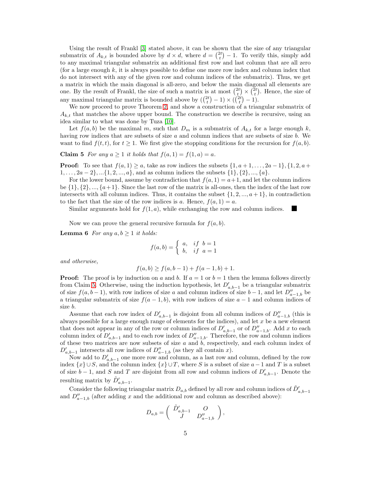Using the result of Frankl [\[3\]](#page-13-8) stated above, it can be shown that the size of any triangular submatrix of  $A_{k,t}$  is bounded above by  $d \times d$ , where  $d = \binom{2t}{t} - 1$ . To verify this, simply add to any maximal triangular submatrix an additional first row and last column that are all zero (for a large enough  $k$ , it is always possible to define one more row index and column index that do not intersect with any of the given row and column indices of the submatrix). Thus, we get a matrix in which the main diagonal is all-zero, and below the main diagonal all elements are one. By the result of Frankl, the size of such a matrix is at most  $\binom{2t}{t} \times \binom{2t}{t}$ . Hence, the size of any maximal triangular matrix is bounded above by  $(\binom{2t}{t} - 1) \times (\binom{2t}{t} - 1)$ .

We now proceed to prove Theorem [2,](#page-1-1) and show a construction of a triangular submatrix of  $A_{k,t}$  that matches the above upper bound. The construction we describe is recursive, using an idea similar to what was done by Tuza [\[10\]](#page-13-7).

Let  $f(a, b)$  be the maximal m, such that  $D_m$  is a submatrix of  $A_{k,t}$  for a large enough k, having row indices that are subsets of size  $a$  and column indices that are subsets of size  $b$ . We want to find  $f(t, t)$ , for  $t \geq 1$ . We first give the stopping conditions for the recursion for  $f(a, b)$ .

<span id="page-4-0"></span>**Claim 5** For any  $a \ge 1$  it holds that  $f(a, 1) = f(1, a) = a$ .

**Proof:** To see that  $f(a, 1) \ge a$ , take as row indices the subsets  $\{1, a+1, \ldots, 2a-1\}, \{1, 2, a+1\}$  $1, \ldots, 2a-2\}, \ldots \{1, 2, \ldots, a\},$  and as column indices the subsets  $\{1\}, \{2\}, \ldots, \{a\}.$ 

For the lower bound, assume by contradiction that  $f(a, 1) = a + 1$ , and let the column indices be  $\{1\}, \{2\}, \ldots, \{a+1\}$ . Since the last row of the matrix is all-ones, then the index of the last row intersects with all column indices. Thus, it contains the subset  $\{1, 2, ..., a+1\}$ , in contradiction to the fact that the size of the row indices is a. Hence,  $f(a, 1) = a$ .

<span id="page-4-1"></span>I.

Similar arguments hold for  $f(1, a)$ , while exchanging the row and column indices.

Now we can prove the general recursive formula for  $f(a, b)$ .

**Lemma 6** *For any*  $a, b \geq 1$  *it holds:* 

$$
f(a,b) = \begin{cases} a, & if \ b = 1 \\ b, & if \ a = 1 \end{cases}
$$

*and otherwise,*

$$
f(a,b) \ge f(a,b-1) + f(a-1,b) + 1.
$$

**Proof:** The proof is by induction on a and b. If  $a = 1$  or  $b = 1$  then the lemma follows directly from Claim [5.](#page-4-0) Otherwise, using the induction hypothesis, let  $D'_{a,b-1}$  be a triangular submatrix of size  $f(a, b-1)$ , with row indices of size a and column indices of size  $b-1$ , and let  $D''_{a-1,b}$  be a triangular submatrix of size  $f(a - 1, b)$ , with row indices of size  $a - 1$  and column indices of size b.

Assume that each row index of  $D'_{a,b-1}$  is disjoint from all column indices of  $D''_{a-1,b}$  (this is always possible for a large enough range of elements for the indices), and let  $x$  be a new element that does not appear in any of the row or column indices of  $D'_{a,b-1}$  or of  $D''_{a-1,b}$ . Add x to each column index of  $D'_{a,b-1}$  and to each row index of  $D''_{a-1,b}$ . Therefore, the row and column indices of these two matrices are now subsets of size  $a$  and  $b$ , respectively, and each column index of  $D'_{a,b-1}$  intersects all row indices of  $D''_{a-1,b}$  (as they all contain x).

Now add to  $D'_{a,b-1}$  one more row and column, as a last row and column, defined by the row index  $\{x\} \cup S$ , and the column index  $\{x\} \cup T$ , where S is a subset of size  $a-1$  and T is a subset of size  $b-1$ , and S and T are disjoint from all row and column indices of  $D'_{a,b-1}$ . Denote the resulting matrix by  $\tilde{D}'_{a,b-1}$ .

Consider the following triangular matrix  $D_{a,b}$  defined by all row and column indices of  $\tilde{D}'_{a,b-1}$ and  $D''_{a-1,b}$  (after adding x and the additional row and column as described above):

$$
D_{a,b} = \begin{pmatrix} \tilde{D}'_{a,b-1} & O \\ J & D''_{a-1,b} \end{pmatrix},
$$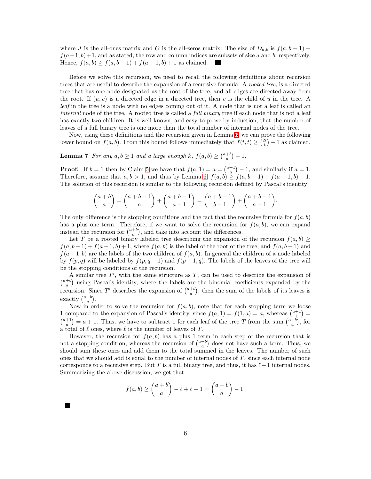where J is the all-ones matrix and O is the all-zeros matrix. The size of  $D_{a,b}$  is  $f(a, b-1)$  +  $f(a-1, b)+1$ , and as stated, the row and column indices are subsets of size a and b, respectively. Hence,  $f(a, b) \ge f(a, b - 1) + f(a - 1, b) + 1$  as claimed. H

Before we solve this recursion, we need to recall the following definitions about recursion trees that are useful to describe the expansion of a recursive formula. A *rooted tree*, is a directed tree that has one node designated as the root of the tree, and all edges are directed away from the root. If  $(u, v)$  is a directed edge in a directed tree, then v is the child of u in the tree. A *leaf* in the tree is a node with no edges coming out of it. A node that is not a leaf is called an *internal* node of the tree. A rooted tree is called a *full binary* tree if each node that is not a leaf has exactly two children. It is well known, and easy to prove by induction, that the number of leaves of a full binary tree is one more than the total number of internal nodes of the tree.

Now, using these definitions and the recursion given in Lemma [6,](#page-4-1) we can prove the following lower bound on  $f(a, b)$ . From this bound follows immediately that  $f(t, t) \geq \binom{2t}{t} - 1$  as claimed.

**Lemma 7** For any  $a, b \ge 1$  and a large enough  $k$ ,  $f(a, b) \ge \binom{a+b}{a} - 1$ .

**Proof:** If  $b = 1$  then by Claim [5](#page-4-0) we have that  $f(a, 1) = a = \binom{a+1}{a} - 1$ , and similarly if  $a = 1$ . Therefore, assume that  $a, b > 1$ , and thus by Lemma [6,](#page-4-1)  $f(a, b) \ge f(a, b - 1) + f(a - 1, b) + 1$ . The solution of this recursion is similar to the following recursion defined by Pascal's identity:

$$
\binom{a+b}{a} = \binom{a+b-1}{a} + \binom{a+b-1}{a-1} = \binom{a+b-1}{b-1} + \binom{a+b-1}{a-1}.
$$

The only difference is the stopping conditions and the fact that the recursive formula for  $f(a, b)$ has a plus one term. Therefore, if we want to solve the recursion for  $f(a, b)$ , we can expand instead the recursion for  $\binom{a+b}{a}$ , and take into account the differences.

Let T be a rooted binary labeled tree describing the expansion of the recursion  $f(a, b) \ge$  $f(a, b-1) + f(a-1, b) + 1$ , where  $f(a, b)$  is the label of the root of the tree, and  $f(a, b-1)$  and  $f(a-1,b)$  are the labels of the two children of  $f(a, b)$ . In general the children of a node labeled by  $f(p, q)$  will be labeled by  $f(p, q - 1)$  and  $f(p - 1, q)$ . The labels of the leaves of the tree will be the stopping conditions of the recursion.

A similar tree  $T'$ , with the same structure as  $T$ , can be used to describe the expansion of  $\binom{a+b}{a}$  using Pascal's identity, where the labels are the binomial coefficients expanded by the recursion. Since T' describes the expansion of  $\binom{a+b}{a}$ , then the sum of the labels of its leaves is exactly  $\binom{a+b}{a}$ .

Now in order to solve the recursion for  $f(a, b)$ , note that for each stopping term we loose 1 compared to the expansion of Pascal's identity, since  $f(a, 1) = f(1, a) = a$ , whereas  $\binom{a+1}{1} =$  $\binom{a+1}{a} = a+1$ . Thus, we have to subtract 1 for each leaf of the tree T from the sum  $\binom{a+b}{a}$ , for a total of  $\ell$  ones, where  $\ell$  is the number of leaves of T.

However, the recursion for  $f(a, b)$  has a plus 1 term in each step of the recursion that is not a stopping condition, whereas the recursion of  $\binom{a+b}{a}$  does not have such a term. Thus, we should sum these ones and add them to the total summed in the leaves. The number of such ones that we should add is equal to the number of internal nodes of T , since each internal node corresponds to a recursive step. But T is a full binary tree, and thus, it has  $\ell-1$  internal nodes. Summarizing the above discussion, we get that:

$$
f(a,b) \ge \binom{a+b}{a} - \ell + \ell - 1 = \binom{a+b}{a} - 1.
$$

 $\blacksquare$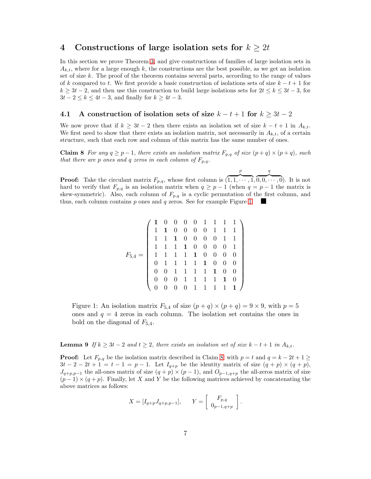### <span id="page-6-3"></span>4 Constructions of large isolation sets for  $k \geq 2t$

In this section we prove Theorem [3,](#page-2-1) and give constructions of families of large isolation sets in  $A_{k,t}$ , where for a large enough k, the constructions are the best possible, as we get an isolation set of size  $k$ . The proof of the theorem contains several parts, according to the range of values of k compared to t. We first provide a basic construction of isolations sets of size  $k - t + 1$  for  $k \geq 3t - 2$ , and then use this construction to build large isolations sets for  $2t \leq k \leq 3t - 3$ , for  $3t - 2 \leq k \leq 4t - 3$ , and finally for  $k \geq 4t - 3$ .

#### 4.1 A construction of isolation sets of size  $k - t + 1$  for  $k \geq 3t - 2$

We now prove that if  $k \geq 3t - 2$  then there exists an isolation set of size  $k - t + 1$  in  $A_{k,t}$ . We first need to show that there exists an isolation matrix, not necessarily in  $A_{k,t}$ , of a certain structure, such that each row and column of this matrix has the same number of ones.

<span id="page-6-1"></span>Claim 8 *For any*  $q \geq p-1$ *, there exists an isolation matrix*  $F_{p,q}$  *of size*  $(p+q) \times (p+q)$ *, such that there are* p *ones and* q *zeros in each column of*  $F_{p,q}$ *.* 

p

q

<span id="page-6-0"></span>**Proof:** Take the circulant matrix  $F_{p,q}$ , whose first column is (  $\overline{1, 1, \cdots, 1},$  $\overline{0,0,\cdots,0}$ . It is not hard to verify that  $F_{p,q}$  is an isolation matrix when  $q \geq p-1$  (when  $q = p-1$  the matrix is skew-symmetric). Also, each column of  $F_{p,q}$  is a cyclic permutation of the first column, and thus, each column contains p ones and q zeros. See for example Figure [1.](#page-6-0)

$$
F_{5,4} = \left(\begin{array}{cccccc} \mathbf{1} & 0 & 0 & 0 & 0 & 1 & 1 & 1 & 1 \\ \mathbf{1} & \mathbf{1} & 0 & 0 & 0 & 0 & 1 & 1 & 1 \\ \mathbf{1} & \mathbf{1} & \mathbf{1} & 0 & 0 & 0 & 0 & 1 & 1 \\ \mathbf{1} & \mathbf{1} & \mathbf{1} & \mathbf{1} & 0 & 0 & 0 & 0 & 1 \\ \mathbf{1} & \mathbf{1} & \mathbf{1} & \mathbf{1} & \mathbf{1} & 0 & 0 & 0 & 0 \\ \mathbf{0} & \mathbf{1} & \mathbf{1} & \mathbf{1} & \mathbf{1} & \mathbf{1} & 0 & 0 & 0 \\ \mathbf{0} & \mathbf{0} & \mathbf{1} & \mathbf{1} & \mathbf{1} & \mathbf{1} & 0 & 0 & 0 \\ \mathbf{0} & \mathbf{0} & \mathbf{1} & \mathbf{1} & \mathbf{1} & \mathbf{1} & \mathbf{1} & 0 & 0 \\ \mathbf{0} & \mathbf{0} & \mathbf{0} & \mathbf{1} & \mathbf{1} & \mathbf{1} & \mathbf{1} & \mathbf{1} & 0 \\ \mathbf{0} & \mathbf{0} & \mathbf{0} & \mathbf{1} & \mathbf{1} & \mathbf{1} & \mathbf{1} & \mathbf{1} & 0 \\ \end{array}\right)
$$

Figure 1: An isolation matrix  $F_{5,4}$  of size  $(p+q) \times (p+q) = 9 \times 9$ , with  $p = 5$ ones and  $q = 4$  zeros in each column. The isolation set contains the ones in bold on the diagonal of  $F_{5,4}$ .

<span id="page-6-2"></span>**Lemma 9** If  $k \geq 3t - 2$  and  $t \geq 2$ , there exists an isolation set of size  $k - t + 1$  in  $A_{k,t}$ .

**Proof:** Let  $F_{p,q}$  be the isolation matrix described in Claim [8,](#page-6-1) with  $p = t$  and  $q = k - 2t + 1 \geq$  $3t-2-2t+1=t-1=p-1$ . Let  $I_{q+p}$  be the identity matrix of size  $(q+p) \times (q+p)$ ,  $J_{q+p,p-1}$  the all-ones matrix of size  $(q+p) \times (p-1)$ , and  $O_{p-1,q+p}$  the all-zeros matrix of size  $(p-1) \times (q+p)$ . Finally, let X and Y be the following matrices achieved by concatenating the above matrices as follows:

$$
X = [I_{q+p}J_{q+p,p-1}],
$$
  $Y = \begin{bmatrix} F_{p,q} \\ 0_{p-1,q+p} \end{bmatrix}.$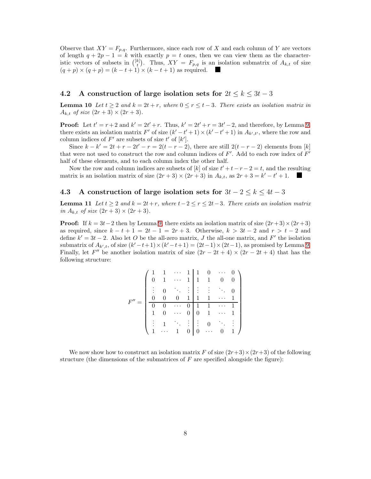Observe that  $XY = F_{p,q}$ . Furthermore, since each row of X and each column of Y are vectors of length  $q + 2p - 1 = k$  with exactly  $p = t$  ones, then we can view them as the characteristic vectors of subsets in  $\binom{[k]}{t}$ . Thus,  $XY = F_{p,q}$  is an isolation submatrix of  $A_{k,t}$  of size  $(q + p) \times (q + p) = (k - t + 1) \times (k - t + 1)$  as required.

### 4.2 A construction of large isolation sets for  $2t \leq k \leq 3t-3$

**Lemma 10** Let  $t \geq 2$  and  $k = 2t + r$ , where  $0 \leq r \leq t - 3$ . There exists an isolation matrix in  $A_{k,t}$  *of size*  $(2r + 3) \times (2r + 3)$ *.* 

**Proof:** Let  $t' = r + 2$  and  $k' = 2t' + r$ . Thus,  $k' = 2t' + r = 3t' - 2$ , and therefore, by Lemma [9,](#page-6-2) there exists an isolation matrix F' of size  $(k'-t'+1) \times (k'-t'+1)$  in  $A_{k',t'}$ , where the row and column indices of  $F'$  are subsets of size  $t'$  of  $[k']$ .

Since  $k - k' = 2t + r - 2t' - r = 2(t - r - 2)$ , there are still  $2(t - r - 2)$  elements from [k] that were not used to construct the row and column indices of  $F'$ . Add to each row index of  $F'$ half of these elements, and to each column index the other half.

Now the row and column indices are subsets of [k] of size  $t' + t - r - 2 = t$ , and the resulting matrix is an isolation matrix of size  $(2r+3) \times (2r+3)$  in  $A_{k,t}$ , as  $2r+3 = k'-t'+1$ .

#### <span id="page-7-0"></span>4.3 A construction of large isolation sets for  $3t - 2 \leq k \leq 4t - 3$

Lemma 11 Let  $t ≥ 2$  and  $k = 2t + r$ , where  $t-2 ≤ r ≤ 2t-3$ . There exists an isolation matrix *in*  $A_{k,t}$  *of size*  $(2r+3) \times (2r+3)$ *.* 

**Proof:** If  $k = 3t - 2$  then by Lemma [9,](#page-6-2) there exists an isolation matrix of size  $(2r+3) \times (2r+3)$ as required, since  $k - t + 1 = 2t - 1 = 2r + 3$ . Otherwise,  $k > 3t - 2$  and  $r > t - 2$  and define  $k' = 3t - 2$ . Also let O be the all-zero matrix, J the all-one matrix, and F' the isolation submatrix of  $A_{k',t}$ , of size  $(k'-t+1) \times (k'-t+1) = (2t-1) \times (2t-1)$ , as promised by Lemma [9.](#page-6-2) Finally, let F'' be another isolation matrix of size  $(2r-2t+4) \times (2r-2t+4)$  that has the following structure:

|   |   |                  |   |                            | $\mathbf{1}$   |                |                           |  |
|---|---|------------------|---|----------------------------|----------------|----------------|---------------------------|--|
|   |   | $\mathbf{1}$     |   | 1                          | $\overline{1}$ | $\mathbf{1}$   | 0                         |  |
|   |   | $\overline{0}$   |   | $\sim 10$                  | $\frac{1}{2}$  |                | $\langle \cdot \rangle$ . |  |
| F |   | $\boldsymbol{0}$ |   | $\overline{\phantom{0}}$ 1 | 1              | $\overline{1}$ |                           |  |
|   |   |                  |   |                            |                | $\overline{1}$ |                           |  |
|   | 1 | $\boldsymbol{0}$ |   | 0                          | 0              | $\,1\,$        | $\ddot{\phantom{0}}$      |  |
|   |   | $\,1\,$          |   | ÷                          | $\ddot{\cdot}$ | $\overline{0}$ |                           |  |
|   |   |                  | 1 | $\boldsymbol{0}$           | 0              | $\ddotsc$      |                           |  |

We now show how to construct an isolation matrix F of size  $(2r+3)\times(2r+3)$  of the following structure (the dimensions of the submatrices of  $F$  are specified alongside the figure):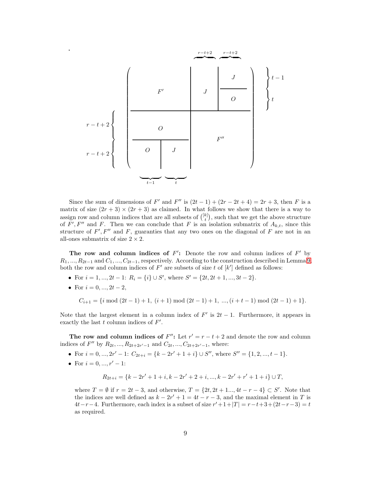

Since the sum of dimensions of F' and F'' is  $(2t-1) + (2r - 2t + 4) = 2r + 3$ , then F is a matrix of size  $(2r + 3) \times (2r + 3)$  as claimed. In what follows we show that there is a way to assign row and column indices that are all subsets of  $\binom{[k]}{t}$ , such that we get the above structure of  $F', F''$  and F. Then we can conclude that F is an isolation submatrix of  $A_{k,t}$ , since this structure of  $F', F''$  and  $F$ , guaranties that any two ones on the diagonal of  $F$  are not in an all-ones submatrix of size  $2 \times 2$ .

The row and column indices of  $F'$ : Denote the row and column indices of  $F'$  by  $R_1, ..., R_{2t-1}$  and  $C_1, ..., C_{2t-1}$ , respectively. According to the construction described in Lemma [9,](#page-6-2) both the row and column indices of  $F'$  are subsets of size t of  $[k']$  defined as follows:

- For  $i = 1, ..., 2t 1$ :  $R_i = \{i\} \cup S'$ , where  $S' = \{2t, 2t + 1, ..., 3t 2\}$ .
- For  $i = 0, ..., 2t 2$ ,

 $C_{i+1} = \{i \mod (2t-1) + 1, (i+1) \mod (2t-1) + 1, \ldots, (i+t-1) \mod (2t-1) + 1\}.$ 

Note that the largest element in a column index of  $F'$  is  $2t-1$ . Furthermore, it appears in exactly the last  $t$  column indices of  $F'$ .

The row and column indices of  $F''$ : Let  $r' = r - t + 2$  and denote the row and column indices of  $F''$  by  $R_{2t}, ..., R_{2t+2r'-1}$  and  $C_{2t}, ..., C_{2t+2r'-1}$ , where:

- For  $i = 0, ..., 2r' 1$ :  $C_{2t+i} = \{k 2r' + 1 + i\} \cup S''$ , where  $S'' = \{1, 2, ..., t 1\}$ .
- For  $i = 0, ..., r' 1$ :

$$
R_{2t+i} = \{k - 2r' + 1 + i, k - 2r' + 2 + i, ..., k - 2r' + r' + 1 + i\} \cup T,
$$

where  $T = \emptyset$  if  $r = 2t - 3$ , and otherwise,  $T = \{2t, 2t + 1, ..., 4t - r - 4\} \subset S'$ . Note that the indices are well defined as  $k - 2r' + 1 = 4t - r - 3$ , and the maximal element in T is  $4t-r-4$ . Furthermore, each index is a subset of size  $r'+1+|T| = r-t+3+(2t-r-3) = t$ as required.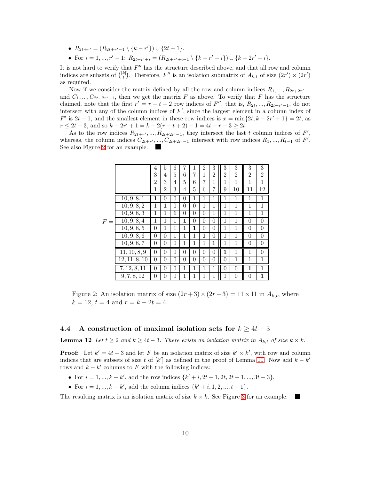- $R_{2t+r'} = (R_{2t+r'-1} \setminus \{k-r'\}) \cup \{2t-1\}.$
- For  $i = 1, ..., r' 1$ :  $R_{2t+r'+i} = (R_{2t+r'+i-1} \setminus \{k-r'+i\}) \cup \{k-2r'+i\}.$

It is not hard to verify that  $F''$  has the structure described above, and that all row and column indices are subsets of  $\binom{[k]}{t}$ . Therefore, F'' is an isolation submatrix of  $A_{k,t}$  of size  $(2r') \times (2r')$ as required.

Now if we consider the matrix defined by all the row and column indices  $R_1, ..., R_{2t+2r'-1}$ and  $C_1, ..., C_{2t+2r'-1}$ , then we get the matrix F as above. To verify that F has the structure claimed, note that the first  $r' = r - t + 2$  row indices of  $F''$ , that is,  $R_{2t},..., R_{2t+r'-1}$ , do not intersect with any of the column indices of  $F'$ , since the largest element in a column index of  $F'$  is  $2t - 1$ , and the smallest element in these row indices is  $x = \min\{2t, k - 2r' + 1\} = 2t$ , as  $r \le 2t - 3$ , and so  $k - 2r' + 1 = k - 2(r - t + 2) + 1 = 4t - r - 3 \ge 2t$ .

<span id="page-9-0"></span>As to the row indices  $R_{2t+r'},..., R_{2t+2r'-1}$ , they intersect the last t column indices of F', whereas, the column indices  $C_{2t+r'},..., C_{2t+2r'-1}$  intersect with row indices  $R_1,..., R_{t-1}$  of  $F'.$ See also Figure [2](#page-9-0) for an example.

|   |                          | 4              | 5              | 6                | 7        | 1        | $\overline{2}$ | 3              | 3              | 3              | 3              | 3                |
|---|--------------------------|----------------|----------------|------------------|----------|----------|----------------|----------------|----------------|----------------|----------------|------------------|
|   |                          | 3              | 4              | 5                | 6        | 7        | $\mathbf 1$    | $\overline{2}$ | $\overline{2}$ | $\overline{2}$ | $\overline{2}$ | $\overline{2}$   |
|   |                          | $\mathfrak{D}$ | 3              | 4                | 5        | 6        | 7              | $\mathbf 1$    | 1              | 1              | 1              | 1                |
|   |                          | 1              | $\overline{2}$ | 3                | 4        | 5        | 6              | 7              | 9              | 10             | 11             | 12               |
|   | 10, 9, 8, 1              | $\mathbf{1}$   | $\theta$       | $\overline{0}$   | $\theta$ | 1        | 1              | 1              | 1              | $\mathbf{1}$   | 1              | $\mathbf{1}$     |
|   | $\overline{10}, 9, 8, 2$ | 1              | 1              | $\overline{0}$   | $\theta$ | $\theta$ | 1              | 1              | 1              | 1              | 1              | $\mathbf 1$      |
|   | 10, 9, 8, 3              | 1              | 1              | 1                | $\theta$ | 0        | $\theta$       | 1              | 1              | 1              | 1              | 1                |
| F | 10, 9, 8, 4              | $\mathbf{1}$   | 1              | 1                | 1        | $\theta$ | $\theta$       | $\theta$       | 1              | 1              | $\overline{0}$ | $\overline{0}$   |
|   | 10, 9, 8, 5              | $\theta$       | 1              | $\mathbf{1}$     | 1        | 1        | $\theta$       | $\theta$       | $\mathbf{1}$   | 1              | $\theta$       | $\theta$         |
|   | 10, 9, 8, 6              | $\theta$       | $\theta$       | 1                | 1        | 1        | $\mathbf{1}$   | $\overline{0}$ | 1              | 1              | $\theta$       | $\overline{0}$   |
|   | 10, 9, 8, 7              | 0              | $\theta$       | $\boldsymbol{0}$ | 1        | 1        | $\mathbf 1$    | 1              | 1              | 1              | $\overline{0}$ | $\boldsymbol{0}$ |
|   | 11, 10, 8, 9             | $\theta$       | $\overline{0}$ | $\overline{0}$   | $\theta$ | $\theta$ | $\theta$       | $\theta$       | $\mathbf{1}$   | 1              | 1              | $\overline{0}$   |
|   | 12, 11, 8, 10            | $\theta$       | $\theta$       | 0                | $\theta$ | 0        | $\overline{0}$ | $\overline{0}$ | $\theta$       | 1              | 1              | 1                |
|   | 7, 12, 8, 11             | $\overline{0}$ | $\theta$       | $\overline{0}$   | 1        | 1        | 1              | 1              | $\theta$       | $\theta$       | $\mathbf{1}$   | 1                |
|   | 9, 7, 8, 12              | 0              | 0              | 0                | 1        | 1        | 1              | 1              | 1              | 0              | $\overline{0}$ | $\mathbf{1}$     |

Figure 2: An isolation matrix of size  $(2r+3) \times (2r+3) = 11 \times 11$  in  $A_{k,t}$ , where  $k = 12$ ,  $t = 4$  and  $r = k - 2t = 4$ .

#### 4.4 A construction of maximal isolation sets for  $k \geq 4t - 3$

**Lemma 12** *Let*  $t ≥ 2$  *and*  $k ≥ 4t − 3$ *. There exists an isolation matrix in*  $A_{k,t}$  *of size*  $k × k$ *.* 

**Proof:** Let  $k' = 4t - 3$  and let F be an isolation matrix of size  $k' \times k'$ , with row and column indices that are subsets of size t of  $[k']$  as defined in the proof of Lemma [11.](#page-7-0) Now add  $k - k'$ rows and  $k - k'$  columns to F with the following indices:

- For  $i = 1, ..., k k'$ , add the row indices  $\{k' + i, 2t 1, 2t, 2t + 1, ..., 3t 3\}$ .
- For  $i = 1, ..., k k'$ , add the column indices  $\{k' + i, 1, 2, ..., t 1\}$ .

The resulting matrix is an isolation matrix of size  $k \times k$ . See Figure [3](#page-10-0) for an example.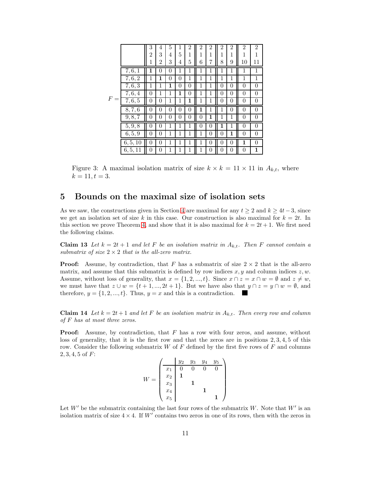<span id="page-10-0"></span>

|       |                    | 3              | 4              | 5              | 1              | $\overline{2}$ | $\overline{2}$ | 2              | $\overline{2}$ | $\overline{2}$ | $\overline{2}$ | $\overline{2}$   |
|-------|--------------------|----------------|----------------|----------------|----------------|----------------|----------------|----------------|----------------|----------------|----------------|------------------|
|       |                    | 2              | 3              | 4              | 5              | 1              | 1              | 1              | 1              | 1              | 1              | 1                |
|       |                    | 1              | $\overline{2}$ | 3              | 4              | 5              | 6              | 7              | 8              | 9              | 10             | 11               |
|       | 7, 6, 1            | 1              | $\overline{0}$ | $\overline{0}$ | 1              | 1              | 1              | 1              | 1              | 1              | 1              | $\mathbf{1}$     |
|       | $\overline{7},6,2$ | 1              | 1              | $\overline{0}$ | $\overline{0}$ | 1              | 1              | 1              | 1              | 1              | 1              | $\mathbf{1}$     |
|       | 7, 6, 3            | 1              | 1              | 1              | $\overline{0}$ | $\overline{0}$ | 1              | 1              | $\overline{0}$ | $\overline{0}$ | $\overline{0}$ | $\boldsymbol{0}$ |
|       | 7, 6, 4            | $\overline{0}$ | 1              | 1              | 1              | $\theta$       | 1              | 1              | $\theta$       | $\overline{0}$ | $\overline{0}$ | $\boldsymbol{0}$ |
| $F =$ | 7, 6, 5            | $\overline{0}$ | $\overline{0}$ | 1              | 1              | $\mathbf{1}$   | 1              | 1              | $\theta$       | $\overline{0}$ | $\overline{0}$ | $\boldsymbol{0}$ |
|       | 8, 7, 6            | $\overline{0}$ | $\theta$       | $\overline{0}$ | $\Omega$       | $\theta$       | $\mathbf{1}$   | 1              | 1              | $\overline{0}$ | $\overline{0}$ | $\overline{0}$   |
|       | 9, 8, 7            | 0              | $\theta$       | $\theta$       | $\theta$       | $\overline{0}$ | 0              | 1              | 1              | 1              | $\overline{0}$ | $\overline{0}$   |
|       | 5, 9, 8            | 0              | 0              | 1              | 1              | 1              | 0              | 0              | 1              | 1              | $\overline{0}$ | $\overline{0}$   |
|       | 6, 5, 9            | 0              | $\overline{0}$ | 1              | 1              | 1              | 1              | 0              | 0              | 1              | $\overline{0}$ | $\boldsymbol{0}$ |
|       | 6, 5, 10           | $\theta$       | $\theta$       | 1              | $\mathbf{1}$   | 1              | 1              | $\overline{0}$ | $\theta$       | $\theta$       | 1              | $\overline{0}$   |
|       | 6, 5, 11           | 0              | 0              | 1              | 1              | 1              | 1              | 0              | 0              | 0              | $\overline{0}$ | $\mathbf{1}$     |

Figure 3: A maximal isolation matrix of size  $k \times k = 11 \times 11$  in  $A_{k,t}$ , where  $k = 11, t = 3.$ 

### 5 Bounds on the maximal size of isolation sets

As we saw, the constructions given in Section [4](#page-6-3) are maximal for any  $t > 2$  and  $k > 4t - 3$ , since we get an isolation set of size k in this case. Our construction is also maximal for  $k = 2t$ . In this section we prove Theorem [4,](#page-2-2) and show that it is also maximal for  $k = 2t + 1$ . We first need the following claims.

<span id="page-10-1"></span>Claim 13 Let  $k = 2t + 1$  and let F be an isolation matrix in  $A_{k,t}$ . Then F cannot contain a *submatrix of size*  $2 \times 2$  *that is the all-zero matrix.* 

**Proof:** Assume, by contradiction, that F has a submatrix of size  $2 \times 2$  that is the all-zero matrix, and assume that this submatrix is defined by row indices  $x, y$  and column indices  $z, w$ . Assume, without loss of generality, that  $x = \{1, 2, ..., t\}$ . Since  $x \cap z = x \cap w = \emptyset$  and  $z \neq w$ , we must have that  $z \cup w = \{t+1, ..., 2t+1\}$ . But we have also that  $y \cap z = y \cap w = \emptyset$ , and therefore,  $y = \{1, 2, ..., t\}$ . Thus,  $y = x$  and this is a contradiction.

<span id="page-10-2"></span>Claim 14 Let  $k = 2t + 1$  and let F be an isolation matrix in  $A_{k,t}$ . Then every row and column *of* F *has at most three zeros.*

**Proof:** Assume, by contradiction, that  $F$  has a row with four zeros, and assume, without loss of generality, that it is the first row and that the zeros are in positions 2, 3, 4, 5 of this row. Consider the following submatrix  $W$  of  $F$  defined by the first five rows of  $F$  and columns  $2, 3, 4, 5$  of  $F$ :

$$
W = \begin{pmatrix} \begin{array}{c|cc} y_2 & y_3 & y_4 & y_5 \\ \hline x_1 & 0 & 0 & 0 & 0 \\ x_2 & 1 & & & \\ x_3 & & 1 & & \\ x_4 & & & 1 & \\ x_5 & & & & 1 \end{array} \end{pmatrix}
$$

Let  $W'$  be the submatrix containing the last four rows of the submatrix W. Note that  $W'$  is an isolation matrix of size  $4 \times 4$ . If W' contains two zeros in one of its rows, then with the zeros in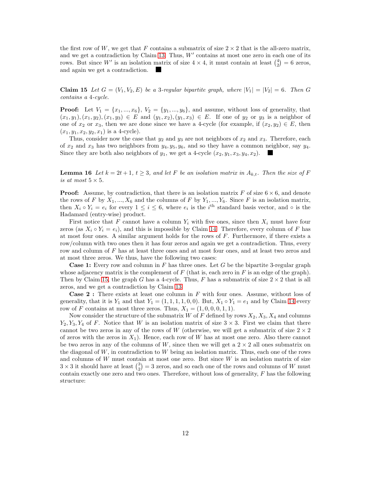the first row of W, we get that F contains a submatrix of size  $2 \times 2$  that is the all-zero matrix, and we get a contradiction by Claim [13.](#page-10-1) Thus,  $W'$  contains at most one zero in each one of its rows. But since W' is an isolation matrix of size  $4 \times 4$ , it must contain at least  $\binom{4}{2} = 6$  zeros, and again we get a contradiction.

<span id="page-11-0"></span>Claim 15 Let  $G = (V_1, V_2, E)$  be a 3-regular bipartite graph, where  $|V_1| = |V_2| = 6$ . Then G *contains a* 4*-cycle.*

**Proof:** Let  $V_1 = \{x_1, ..., x_6\}$ ,  $V_2 = \{y_1, ..., y_6\}$ , and assume, without loss of generality, that  $(x_1, y_1), (x_1, y_2), (x_1, y_3) \in E$  and  $(y_1, x_2), (y_1, x_3) \in E$ . If one of  $y_2$  or  $y_3$  is a neighbor of one of  $x_2$  or  $x_3$ , then we are done since we have a 4-cycle (for example, if  $(x_2, y_2) \in E$ , then  $(x_1, y_1, x_2, y_2, x_1)$  is a 4-cycle).

Thus, consider now the case that  $y_2$  and  $y_3$  are not neighbors of  $x_2$  and  $x_3$ . Therefore, each of  $x_2$  and  $x_3$  has two neighbors from  $y_4, y_5, y_6$ , and so they have a common neighbor, say  $y_4$ . Since they are both also neighbors of  $y_1$ , we get a 4-cycle  $(x_2, y_1, x_3, y_4, x_2)$ .

**Lemma 16** Let  $k = 2t + 1$ ,  $t \geq 3$ , and let F be an isolation matrix in  $A_{k,t}$ . Then the size of F *is at most*  $5 \times 5$ *.* 

**Proof:** Assume, by contradiction, that there is an isolation matrix F of size  $6 \times 6$ , and denote the rows of F by  $X_1, ..., X_6$  and the columns of F by  $Y_1, ..., Y_6$ . Since F is an isolation matrix, then  $X_i \circ Y_i = e_i$  for every  $1 \leq i \leq 6$ , where  $e_i$  is the i<sup>th</sup> standard basis vector, and  $\circ$  is the Hadamard (entry-wise) product.

First notice that F cannot have a column  $Y_i$  with five ones, since then  $X_i$  must have four zeros (as  $X_i \circ Y_i = e_i$ ), and this is impossible by Claim [14.](#page-10-2) Therefore, every column of F has at most four ones. A similar argument holds for the rows of  $F$ . Furthermore, if there exists a row/column with two ones then it has four zeros and again we get a contradiction. Thus, every row and column of F has at least three ones and at most four ones, and at least two zeros and at most three zeros. We thus, have the following two cases:

**Case 1:** Every row and column in  $F$  has three ones. Let  $G$  be the bipartite 3-regular graph whose adjacency matrix is the complement of  $F$  (that is, each zero in  $F$  is an edge of the graph). Then by Claim [15,](#page-11-0) the graph G has a 4-cycle. Thus, F has a submatrix of size  $2 \times 2$  that is all zeros, and we get a contradiction by Claim [13.](#page-10-1)

Case 2 : There exists at least one column in F with four ones. Assume, without loss of generality, that it is  $Y_1$  and that  $Y_1 = (1, 1, 1, 1, 0, 0)$ . But,  $X_1 \circ Y_1 = e_1$  and by Claim [14](#page-10-2) every row of F contains at most three zeros. Thus,  $X_1 = (1, 0, 0, 0, 1, 1)$ .

Now consider the structure of the submatrix W of F defined by rows  $X_2, X_3, X_4$  and columns  $Y_2, Y_3, Y_4$  of F. Notice that W is an isolation matrix of size  $3 \times 3$ . First we claim that there cannot be two zeros in any of the rows of W (otherwise, we will get a submatrix of size  $2 \times 2$ of zeros with the zeros in  $X_1$ ). Hence, each row of W has at most one zero. Also there cannot be two zeros in any of the columns of W, since then we will get a  $2 \times 2$  all ones submatrix on the diagonal of  $W$ , in contradiction to  $W$  being an isolation matrix. Thus, each one of the rows and columns of  $W$  must contain at most one zero. But since  $W$  is an isolation matrix of size  $3 \times 3$  it should have at least  $\binom{3}{2} = 3$  zeros, and so each one of the rows and columns of W must contain exactly one zero and two ones. Therefore, without loss of generality,  $F$  has the following structure: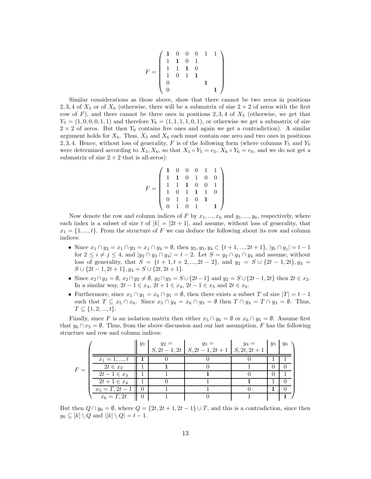$$
F = \left(\begin{array}{cccc} \mathbf{1} & 0 & 0 & 0 & 1 & 1 \\ 1 & \mathbf{1} & 0 & 1 & 1 \\ 1 & 1 & \mathbf{1} & 0 & 0 \\ 1 & 0 & 1 & \mathbf{1} & 1 \\ 0 & 0 & 0 & 1 & 1 \end{array}\right)
$$

Similar considerations as those above, show that there cannot be two zeros in positions 2, 3, 4 of  $X_5$  or of  $X_6$  (otherwise, there will be a submatrix of size  $2 \times 2$  of zeros with the first row of F), and there cannot be three ones in positions 2, 3, 4 of  $X_5$  (otherwise, we get that  $Y_5 = (1, 0, 0, 0, 1, 1)$  and therefore  $Y_6 = (1, 1, 1, 1, 0, 1)$ , or otherwise we get a submatrix of size  $2 \times 2$  of zeros. But then  $Y_6$  contains five ones and again we get a contradiction). A similar argument holds for  $X_6$ . Thus,  $X_5$  and  $X_6$  each must contain one zero and two ones in positions 2, 3, 4. Hence, without loss of generality, F is of the following form (where columns  $Y_5$  and  $Y_6$ were determined according to  $X_5, X_6$ , so that  $X_5 \circ Y_5 = e_5$ ,  $X_6 \circ Y_6 = e_6$ , and we do not get a submatrix of size  $2 \times 2$  that is all-zeros):

$$
F = \left(\begin{array}{cccccc} \mathbf{1} & 0 & 0 & 0 & 1 & 1 \\ 1 & \mathbf{1} & 0 & 1 & 0 & 0 \\ 1 & 1 & \mathbf{1} & 0 & 0 & 1 \\ 1 & 0 & 1 & \mathbf{1} & 1 & 0 \\ 0 & 1 & 1 & 0 & \mathbf{1} \\ 0 & 1 & 0 & 1 & \mathbf{1} \end{array}\right)
$$

Now denote the row and column indices of F by  $x_1, ..., x_6$  and  $y_1, ..., y_6$ , respectively, where each index is a subset of size t of  $[k] = [2t + 1]$ , and assume, without loss of generality, that  $x_1 = \{1, ..., t\}$ . From the structure of F we can deduce the following about its row and column indices:

- Since  $x_1 \cap y_2 = x_1 \cap y_3 = x_1 \cap y_4 = \emptyset$ , then  $y_2, y_3, y_4 \subset \{t+1, ..., 2t+1\}$ ,  $|y_i \cap y_j| = t-1$ for  $2 \leq i \neq j \leq 4$ , and  $|y_2 \cap y_3 \cap y_4| = t - 2$ . Let  $S = y_2 \cap y_3 \cap y_4$  and assume, without loss of generality, that  $S = \{t + 1, t + 2, ..., 2t - 2\}$ , and  $y_2 = S \cup \{2t - 1, 2t\}$ ,  $y_3 =$  $S \cup \{2t-1, 2t+1\}, y_4 = S \cup \{2t, 2t+1\}.$
- Since  $x_2 \cap y_3 = \emptyset$ ,  $x_2 \cap y_2 \neq \emptyset$ ,  $y_2 \cap y_3 = S \cup \{2t-1\}$  and  $y_2 = S \cup \{2t-1, 2t\}$  then  $2t \in x_2$ . In a similar way,  $2t - 1 \in x_3$ ,  $2t + 1 \in x_4$ ,  $2t - 1 \in x_5$  and  $2t \in x_6$ .
- Furthermore, since  $x_5 \cap y_1 = x_6 \cap y_1 = \emptyset$ , then there exists a subset T of size  $|T| = t 1$ such that  $T \subseteq x_5 \cap x_6$ . Since  $x_5 \cap y_4 = x_6 \cap y_3 = \emptyset$  then  $T \cap y_4 = T \cap y_3 = \emptyset$ . Thus,  $T \subseteq \{1, 2, ..., t\}.$

Finally, since F is an isolation matrix then either  $x_5 \cap y_6 = \emptyset$  or  $x_6 \cap y_5 = \emptyset$ . Assume first that  $y_6 \cap x_5 = \emptyset$ . Thus, from the above discussion and our last assumption, F has the following structure and row and column indices:

|       |                               | $y_1$ | $y_2 =$ | $y_3 =$<br>$S, 2t-1, 2t   S, 2t-1, 2t+1   S, 2t, 2t+1$ | $y_4 =$ | $y_5$ | $y_6$ |
|-------|-------------------------------|-------|---------|--------------------------------------------------------|---------|-------|-------|
|       | $x_1 = 1, , t$                |       |         |                                                        |         |       |       |
| $F =$ | $2t \in x_2$                  |       |         |                                                        |         |       |       |
|       | $2t-1 \in x_3$                |       |         |                                                        |         |       |       |
|       | $2t + 1 \in x_4$              |       |         |                                                        |         |       |       |
|       | $x_5 = T, 2t - 1 \parallel 0$ |       |         |                                                        |         |       |       |
|       | $x_6 = T, 2t$                 |       |         |                                                        |         |       |       |

But then  $Q \cap y_6 = \emptyset$ , where  $Q = \{2t, 2t + 1, 2t - 1\} \cup T$ , and this is a contradiction, since then  $y_6 \subseteq [k] \setminus Q$  and  $|[k] \setminus Q] = t - 1$ .